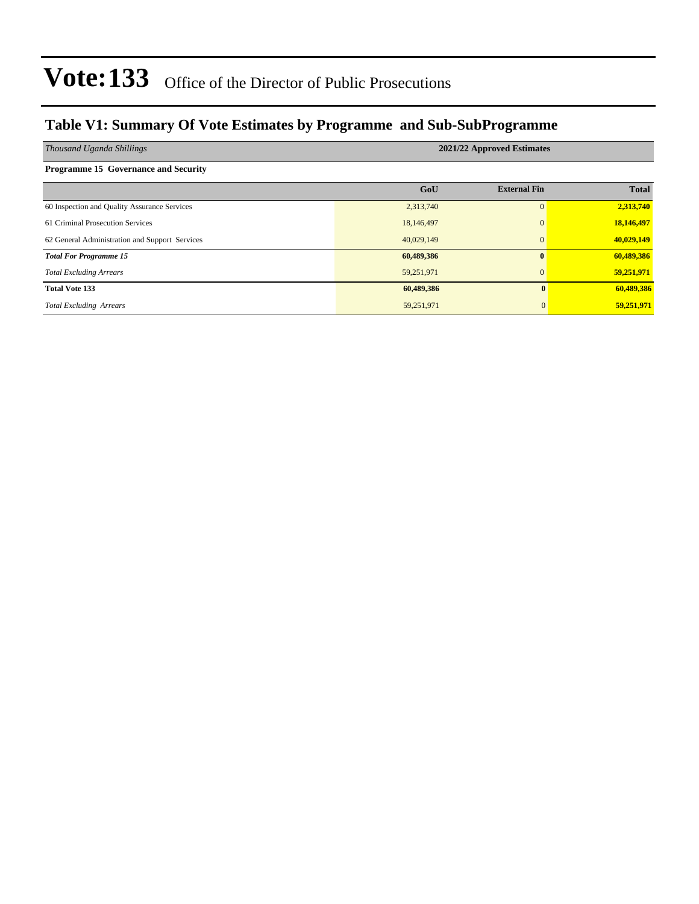### **Table V1: Summary Of Vote Estimates by Programme and Sub-SubProgramme**

| Thousand Uganda Shillings                      | 2021/22 Approved Estimates |                     |              |  |  |  |  |  |
|------------------------------------------------|----------------------------|---------------------|--------------|--|--|--|--|--|
| <b>Programme 15 Governance and Security</b>    |                            |                     |              |  |  |  |  |  |
|                                                | GoU                        | <b>External Fin</b> | <b>Total</b> |  |  |  |  |  |
| 60 Inspection and Quality Assurance Services   | 2,313,740                  | $\Omega$            | 2,313,740    |  |  |  |  |  |
| 61 Criminal Prosecution Services               | 18,146,497                 | $\Omega$            | 18,146,497   |  |  |  |  |  |
| 62 General Administration and Support Services | 40,029,149                 | $\mathbf{0}$        | 40,029,149   |  |  |  |  |  |
| <b>Total For Programme 15</b>                  | 60,489,386                 | $\mathbf{0}$        | 60,489,386   |  |  |  |  |  |
| <b>Total Excluding Arrears</b>                 | 59,251,971                 |                     | 59,251,971   |  |  |  |  |  |
| <b>Total Vote 133</b>                          | 60,489,386                 | $\mathbf{0}$        | 60,489,386   |  |  |  |  |  |
| <b>Total Excluding Arrears</b>                 | 59,251,971                 | $\mathbf{0}$        | 59,251,971   |  |  |  |  |  |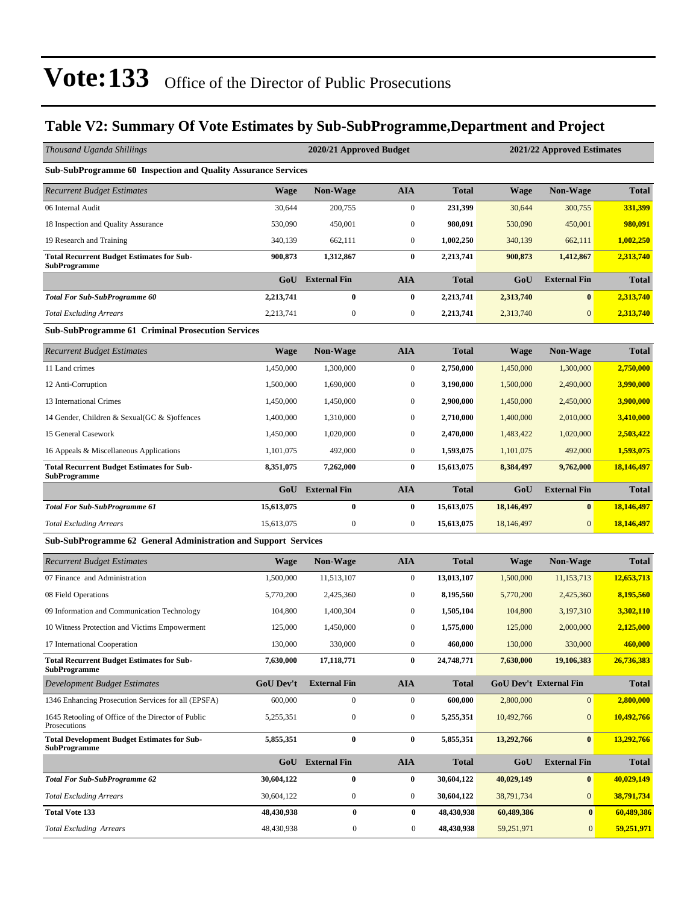### **Table V2: Summary Of Vote Estimates by Sub-SubProgramme,Department and Project**

| Thousand Uganda Shillings                                                 |                  | 2020/21 Approved Budget<br>2021/22 Approved Estimates |                  |              |             |                               |              |  |
|---------------------------------------------------------------------------|------------------|-------------------------------------------------------|------------------|--------------|-------------|-------------------------------|--------------|--|
| <b>Sub-SubProgramme 60 Inspection and Quality Assurance Services</b>      |                  |                                                       |                  |              |             |                               |              |  |
| <b>Recurrent Budget Estimates</b>                                         | <b>Wage</b>      | Non-Wage                                              | <b>AIA</b>       | <b>Total</b> | <b>Wage</b> | <b>Non-Wage</b>               | <b>Total</b> |  |
| 06 Internal Audit                                                         | 30,644           | 200,755                                               | $\boldsymbol{0}$ | 231,399      | 30,644      | 300,755                       | 331,399      |  |
| 18 Inspection and Quality Assurance                                       | 530,090          | 450,001                                               | $\mathbf{0}$     | 980,091      | 530,090     | 450,001                       | 980,091      |  |
| 19 Research and Training                                                  | 340,139          | 662,111                                               | $\boldsymbol{0}$ | 1,002,250    | 340,139     | 662,111                       | 1,002,250    |  |
| <b>Total Recurrent Budget Estimates for Sub-</b><br><b>SubProgramme</b>   | 900,873          | 1,312,867                                             | $\bf{0}$         | 2,213,741    | 900,873     | 1,412,867                     | 2,313,740    |  |
|                                                                           | GoU              | <b>External Fin</b>                                   | <b>AIA</b>       | <b>Total</b> | GoU         | <b>External Fin</b>           | <b>Total</b> |  |
| <b>Total For Sub-SubProgramme 60</b>                                      | 2,213,741        | $\bf{0}$                                              | $\bf{0}$         | 2,213,741    | 2,313,740   | $\bf{0}$                      | 2,313,740    |  |
| <b>Total Excluding Arrears</b>                                            | 2,213,741        | $\boldsymbol{0}$                                      | $\boldsymbol{0}$ | 2,213,741    | 2,313,740   | $\mathbf{0}$                  | 2,313,740    |  |
| <b>Sub-SubProgramme 61 Criminal Prosecution Services</b>                  |                  |                                                       |                  |              |             |                               |              |  |
| <b>Recurrent Budget Estimates</b>                                         | <b>Wage</b>      | Non-Wage                                              | <b>AIA</b>       | <b>Total</b> | <b>Wage</b> | <b>Non-Wage</b>               | <b>Total</b> |  |
| 11 Land crimes                                                            | 1,450,000        | 1,300,000                                             | $\boldsymbol{0}$ | 2,750,000    | 1,450,000   | 1,300,000                     | 2,750,000    |  |
| 12 Anti-Corruption                                                        | 1,500,000        | 1,690,000                                             | $\boldsymbol{0}$ | 3,190,000    | 1,500,000   | 2,490,000                     | 3,990,000    |  |
| 13 International Crimes                                                   | 1,450,000        | 1,450,000                                             | $\bf{0}$         | 2,900,000    | 1,450,000   | 2,450,000                     | 3,900,000    |  |
| 14 Gender, Children & Sexual(GC & S) offences                             | 1,400,000        | 1,310,000                                             | $\boldsymbol{0}$ | 2,710,000    | 1,400,000   | 2,010,000                     | 3,410,000    |  |
| 15 General Casework                                                       | 1,450,000        | 1,020,000                                             | $\boldsymbol{0}$ | 2,470,000    | 1,483,422   | 1,020,000                     | 2,503,422    |  |
| 16 Appeals & Miscellaneous Applications                                   | 1,101,075        | 492,000                                               | $\boldsymbol{0}$ | 1,593,075    | 1,101,075   | 492,000                       | 1,593,075    |  |
| <b>Total Recurrent Budget Estimates for Sub-</b><br><b>SubProgramme</b>   | 8,351,075        | 7,262,000                                             | $\bf{0}$         | 15,613,075   | 8,384,497   | 9,762,000                     | 18,146,497   |  |
|                                                                           | GoU              | <b>External Fin</b>                                   | <b>AIA</b>       | <b>Total</b> | GoU         | <b>External Fin</b>           | <b>Total</b> |  |
| <b>Total For Sub-SubProgramme 61</b>                                      | 15,613,075       | $\bf{0}$                                              | $\bf{0}$         | 15,613,075   | 18,146,497  | $\bf{0}$                      | 18,146,497   |  |
| <b>Total Excluding Arrears</b>                                            | 15,613,075       | $\boldsymbol{0}$                                      | $\boldsymbol{0}$ | 15,613,075   | 18,146,497  | $\mathbf{0}$                  | 18,146,497   |  |
| Sub-SubProgramme 62 General Administration and Support Services           |                  |                                                       |                  |              |             |                               |              |  |
| <b>Recurrent Budget Estimates</b>                                         | <b>Wage</b>      | <b>Non-Wage</b>                                       | <b>AIA</b>       | <b>Total</b> | <b>Wage</b> | <b>Non-Wage</b>               | <b>Total</b> |  |
| 07 Finance and Administration                                             | 1,500,000        | 11,513,107                                            | $\boldsymbol{0}$ | 13,013,107   | 1,500,000   | 11,153,713                    | 12,653,713   |  |
| 08 Field Operations                                                       | 5,770,200        | 2,425,360                                             | $\boldsymbol{0}$ | 8,195,560    | 5,770,200   | 2,425,360                     | 8,195,560    |  |
| 09 Information and Communication Technology                               | 104,800          | 1,400,304                                             | $\boldsymbol{0}$ | 1,505,104    | 104,800     | 3,197,310                     | 3,302,110    |  |
| 10 Witness Protection and Victims Empowerment                             | 125,000          | 1,450,000                                             | $\bf{0}$         | 1,575,000    | 125,000     | 2,000,000                     | 2,125,000    |  |
| 17 International Cooperation                                              | 130,000          | 330,000                                               | $\boldsymbol{0}$ | 460,000      | 130,000     | 330,000                       | 460,000      |  |
| <b>Total Recurrent Budget Estimates for Sub-</b><br><b>SubProgramme</b>   | 7,630,000        | 17,118,771                                            | $\bf{0}$         | 24,748,771   | 7,630,000   | 19,106,383                    | 26,736,383   |  |
| Development Budget Estimates                                              | <b>GoU Dev't</b> | <b>External Fin</b>                                   | <b>AIA</b>       | <b>Total</b> |             | <b>GoU Dev't External Fin</b> | <b>Total</b> |  |
| 1346 Enhancing Prosecution Services for all (EPSFA)                       | 600,000          | $\boldsymbol{0}$                                      | $\boldsymbol{0}$ | 600,000      | 2,800,000   | $\boldsymbol{0}$              | 2,800,000    |  |
| 1645 Retooling of Office of the Director of Public<br>Prosecutions        | 5,255,351        | $\boldsymbol{0}$                                      | $\boldsymbol{0}$ | 5,255,351    | 10,492,766  | $\mathbf{0}$                  | 10,492,766   |  |
| <b>Total Development Budget Estimates for Sub-</b><br><b>SubProgramme</b> | 5,855,351        | $\pmb{0}$                                             | $\bf{0}$         | 5,855,351    | 13,292,766  | $\bf{0}$                      | 13,292,766   |  |
|                                                                           | GoU              | <b>External Fin</b>                                   | <b>AIA</b>       | <b>Total</b> | GoU         | <b>External Fin</b>           | <b>Total</b> |  |
| <b>Total For Sub-SubProgramme 62</b>                                      | 30,604,122       | 0                                                     | $\bf{0}$         | 30,604,122   | 40,029,149  | $\bf{0}$                      | 40,029,149   |  |
| <b>Total Excluding Arrears</b>                                            | 30,604,122       | $\boldsymbol{0}$                                      | $\boldsymbol{0}$ | 30,604,122   | 38,791,734  | $\mathbf{0}$                  | 38,791,734   |  |
| <b>Total Vote 133</b>                                                     | 48,430,938       | $\pmb{0}$                                             | $\bf{0}$         | 48,430,938   | 60,489,386  | $\boldsymbol{0}$              | 60,489,386   |  |
| <b>Total Excluding Arrears</b>                                            | 48,430,938       | $\boldsymbol{0}$                                      | $\boldsymbol{0}$ | 48,430,938   | 59,251,971  | $\mathbf{0}$                  | 59,251,971   |  |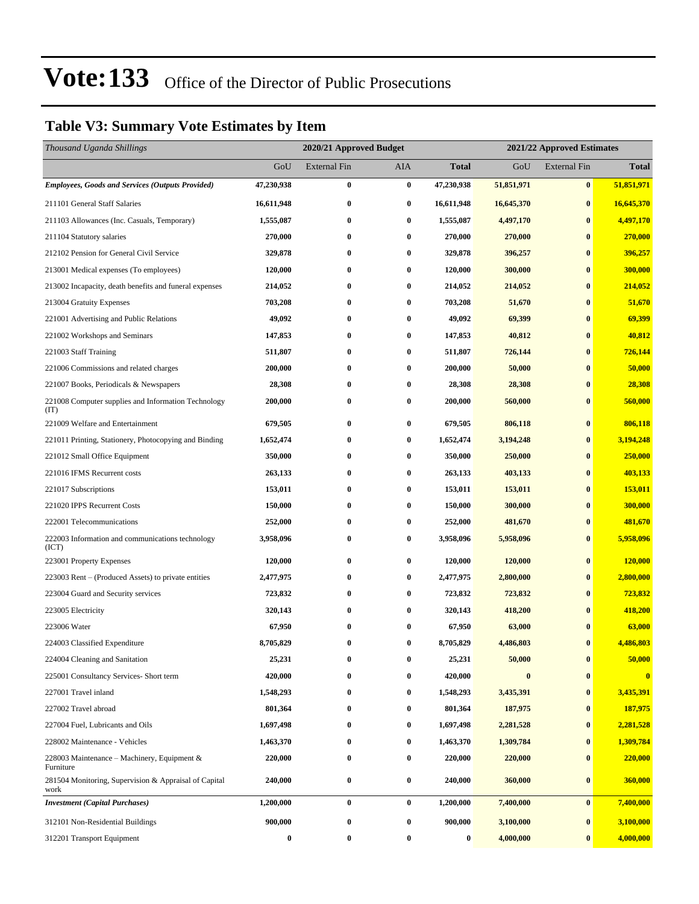### **Table V3: Summary Vote Estimates by Item**

| Thousand Uganda Shillings                                     |                  | 2020/21 Approved Budget<br>2021/22 Approved Estimates |            |              |            |                     |              |
|---------------------------------------------------------------|------------------|-------------------------------------------------------|------------|--------------|------------|---------------------|--------------|
|                                                               | GoU              | <b>External Fin</b>                                   | <b>AIA</b> | <b>Total</b> | GoU        | <b>External Fin</b> | <b>Total</b> |
| <b>Employees, Goods and Services (Outputs Provided)</b>       | 47,230,938       | $\bf{0}$                                              | $\bf{0}$   | 47,230,938   | 51,851,971 | $\bf{0}$            | 51,851,971   |
| 211101 General Staff Salaries                                 | 16,611,948       | $\bf{0}$                                              | $\bf{0}$   | 16,611,948   | 16,645,370 | $\bf{0}$            | 16,645,370   |
| 211103 Allowances (Inc. Casuals, Temporary)                   | 1,555,087        | $\bf{0}$                                              | $\bf{0}$   | 1,555,087    | 4,497,170  | $\bf{0}$            | 4,497,170    |
| 211104 Statutory salaries                                     | 270,000          | $\bf{0}$                                              | $\bf{0}$   | 270,000      | 270,000    | $\bf{0}$            | 270,000      |
| 212102 Pension for General Civil Service                      | 329,878          | $\bf{0}$                                              | $\bf{0}$   | 329,878      | 396,257    | $\bf{0}$            | 396,257      |
| 213001 Medical expenses (To employees)                        | 120,000          | $\bf{0}$                                              | $\bf{0}$   | 120,000      | 300,000    | $\bf{0}$            | 300,000      |
| 213002 Incapacity, death benefits and funeral expenses        | 214,052          | $\bf{0}$                                              | $\bf{0}$   | 214,052      | 214,052    | $\bf{0}$            | 214,052      |
| 213004 Gratuity Expenses                                      | 703,208          | $\bf{0}$                                              | $\bf{0}$   | 703,208      | 51,670     | $\bf{0}$            | 51,670       |
| 221001 Advertising and Public Relations                       | 49,092           | $\bf{0}$                                              | $\bf{0}$   | 49,092       | 69,399     | $\bf{0}$            | 69,399       |
| 221002 Workshops and Seminars                                 | 147,853          | $\bf{0}$                                              | $\bf{0}$   | 147,853      | 40,812     | $\bf{0}$            | 40,812       |
| 221003 Staff Training                                         | 511,807          | $\bf{0}$                                              | $\bf{0}$   | 511,807      | 726,144    | $\bf{0}$            | 726,144      |
| 221006 Commissions and related charges                        | 200,000          | $\bf{0}$                                              | $\bf{0}$   | 200,000      | 50,000     | $\bf{0}$            | 50,000       |
| 221007 Books, Periodicals & Newspapers                        | 28,308           | $\bf{0}$                                              | $\bf{0}$   | 28,308       | 28,308     | $\bf{0}$            | 28,308       |
| 221008 Computer supplies and Information Technology<br>(TT)   | 200,000          | $\bf{0}$                                              | $\bf{0}$   | 200,000      | 560,000    | $\bf{0}$            | 560,000      |
| 221009 Welfare and Entertainment                              | 679,505          | $\bf{0}$                                              | $\bf{0}$   | 679,505      | 806,118    | $\bf{0}$            | 806,118      |
| 221011 Printing, Stationery, Photocopying and Binding         | 1,652,474        | $\bf{0}$                                              | $\bf{0}$   | 1,652,474    | 3,194,248  | $\bf{0}$            | 3,194,248    |
| 221012 Small Office Equipment                                 | 350,000          | $\bf{0}$                                              | $\bf{0}$   | 350,000      | 250,000    | $\bf{0}$            | 250,000      |
| 221016 IFMS Recurrent costs                                   | 263,133          | $\bf{0}$                                              | $\bf{0}$   | 263,133      | 403,133    | $\bf{0}$            | 403,133      |
| 221017 Subscriptions                                          | 153,011          | $\bf{0}$                                              | $\bf{0}$   | 153,011      | 153,011    | $\bf{0}$            | 153,011      |
| 221020 IPPS Recurrent Costs                                   | 150,000          | $\bf{0}$                                              | $\bf{0}$   | 150,000      | 300,000    | $\bf{0}$            | 300,000      |
| 222001 Telecommunications                                     | 252,000          | $\bf{0}$                                              | $\bf{0}$   | 252,000      | 481,670    | $\bf{0}$            | 481,670      |
| 222003 Information and communications technology<br>(ICT)     | 3,958,096        | $\bf{0}$                                              | $\bf{0}$   | 3,958,096    | 5,958,096  | $\bf{0}$            | 5,958,096    |
| 223001 Property Expenses                                      | 120,000          | $\bf{0}$                                              | $\bf{0}$   | 120,000      | 120,000    | $\bf{0}$            | 120,000      |
| 223003 Rent – (Produced Assets) to private entities           | 2,477,975        | $\bf{0}$                                              | $\bf{0}$   | 2,477,975    | 2,800,000  | $\bf{0}$            | 2,800,000    |
| 223004 Guard and Security services                            | 723,832          | 0                                                     | $\bf{0}$   | 723,832      | 723,832    | $\bf{0}$            | 723,832      |
| 223005 Electricity                                            | 320,143          | $\bf{0}$                                              | $\bf{0}$   | 320,143      | 418,200    | $\bf{0}$            | 418,200      |
| 223006 Water                                                  | 67,950           | 0                                                     | $\bf{0}$   | 67,950       | 63,000     | $\bf{0}$            | 63,000       |
| 224003 Classified Expenditure                                 | 8,705,829        | $\bf{0}$                                              | $\bf{0}$   | 8,705,829    | 4,486,803  | $\bf{0}$            | 4,486,803    |
| 224004 Cleaning and Sanitation                                | 25,231           | 0                                                     | $\bf{0}$   | 25,231       | 50,000     | $\pmb{0}$           | 50,000       |
| 225001 Consultancy Services- Short term                       | 420,000          | 0                                                     | $\bf{0}$   | 420,000      | $\bf{0}$   | $\bf{0}$            | $\bf{0}$     |
| 227001 Travel inland                                          | 1,548,293        | $\bf{0}$                                              | $\bf{0}$   | 1,548,293    | 3,435,391  | $\bf{0}$            | 3,435,391    |
| 227002 Travel abroad                                          | 801,364          | 0                                                     | $\bf{0}$   | 801,364      | 187,975    | $\bf{0}$            | 187,975      |
| 227004 Fuel, Lubricants and Oils                              | 1,697,498        | $\bf{0}$                                              | $\bf{0}$   | 1,697,498    | 2,281,528  | $\bf{0}$            | 2,281,528    |
| 228002 Maintenance - Vehicles                                 | 1,463,370        | $\bf{0}$                                              | $\bf{0}$   | 1,463,370    | 1,309,784  | $\bf{0}$            | 1,309,784    |
| 228003 Maintenance - Machinery, Equipment $&$<br>Furniture    | 220,000          | $\bf{0}$                                              | $\bf{0}$   | 220,000      | 220,000    | $\bf{0}$            | 220,000      |
| 281504 Monitoring, Supervision & Appraisal of Capital<br>work | 240,000          | $\bf{0}$                                              | $\bf{0}$   | 240,000      | 360,000    | $\bf{0}$            | 360,000      |
| <b>Investment (Capital Purchases)</b>                         | 1,200,000        | $\bf{0}$                                              | $\bf{0}$   | 1,200,000    | 7,400,000  | $\bf{0}$            | 7,400,000    |
| 312101 Non-Residential Buildings                              | 900,000          | $\bf{0}$                                              | $\bf{0}$   | 900,000      | 3,100,000  | $\bf{0}$            | 3,100,000    |
| 312201 Transport Equipment                                    | $\boldsymbol{0}$ | $\bf{0}$                                              | $\bf{0}$   | 0            | 4,000,000  | $\bf{0}$            | 4,000,000    |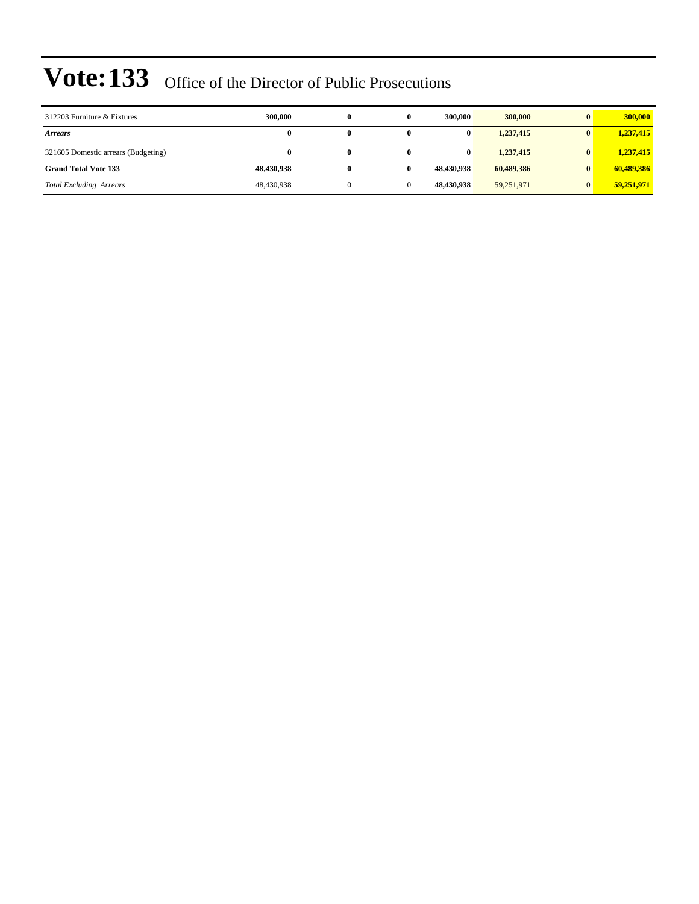| 312203 Furniture & Fixtures         | 300,000    | 0 | 300,000    | 300,000    | $\mathbf{0}$ | 300,000    |
|-------------------------------------|------------|---|------------|------------|--------------|------------|
| <b>Arrears</b>                      | 0          | 0 | $\bf{0}$   | 1,237,415  | $\mathbf{0}$ | 1,237,415  |
| 321605 Domestic arrears (Budgeting) | 0          | 0 | $\bf{0}$   | 1,237,415  | $\mathbf{0}$ | 1,237,415  |
| <b>Grand Total Vote 133</b>         | 48.430.938 | 0 | 48.430.938 | 60,489,386 | $\mathbf{0}$ | 60,489,386 |
| <b>Total Excluding Arrears</b>      | 48,430,938 | 0 | 48,430,938 | 59,251,971 |              | 59,251,971 |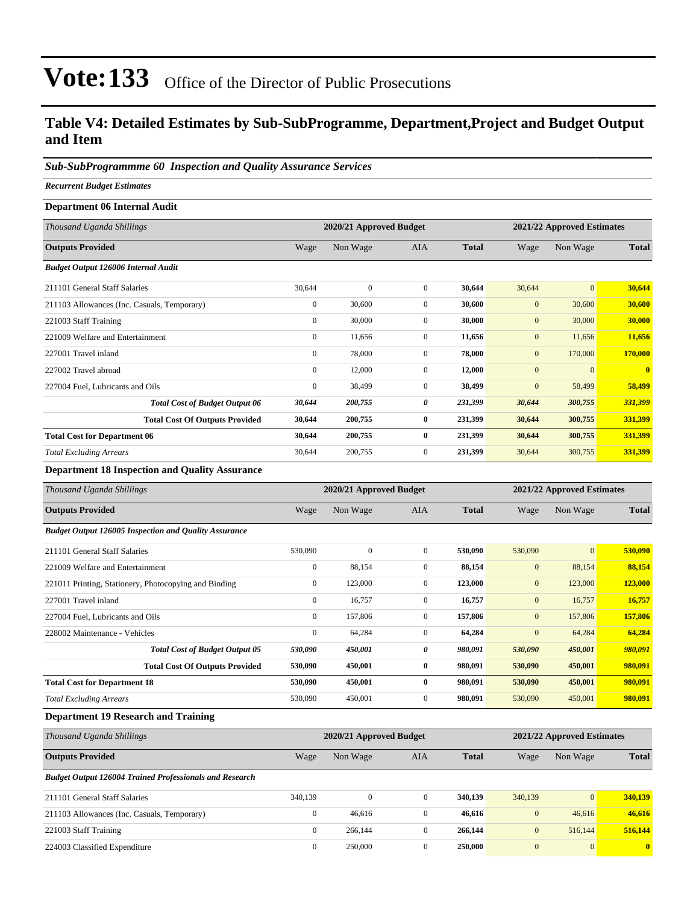### **Table V4: Detailed Estimates by Sub-SubProgramme, Department,Project and Budget Output and Item**

### *Sub-SubProgrammme 60 Inspection and Quality Assurance Services*

*Recurrent Budget Estimates*

| Department 06 Internal Audit                |                         |              |                |              |                            |              |              |
|---------------------------------------------|-------------------------|--------------|----------------|--------------|----------------------------|--------------|--------------|
| Thousand Uganda Shillings                   | 2020/21 Approved Budget |              |                |              | 2021/22 Approved Estimates |              |              |
| <b>Outputs Provided</b>                     | Wage                    | Non Wage     | AIA            | <b>Total</b> | Wage                       | Non Wage     | <b>Total</b> |
| <b>Budget Output 126006 Internal Audit</b>  |                         |              |                |              |                            |              |              |
| 211101 General Staff Salaries               | 30,644                  | $\mathbf{0}$ | $\overline{0}$ | 30,644       | 30,644                     | $\mathbf{0}$ | 30,644       |
| 211103 Allowances (Inc. Casuals, Temporary) | $\overline{0}$          | 30,600       | $\overline{0}$ | 30,600       | $\mathbf{0}$               | 30,600       | 30,600       |
| 221003 Staff Training                       | $\mathbf{0}$            | 30,000       | $\overline{0}$ | 30,000       | $\mathbf{0}$               | 30,000       | 30,000       |
| 221009 Welfare and Entertainment            | $\mathbf{0}$            | 11,656       | $\overline{0}$ | 11,656       | $\mathbf{0}$               | 11,656       | 11,656       |
| 227001 Travel inland                        | $\mathbf{0}$            | 78,000       | $\overline{0}$ | 78,000       | $\mathbf{0}$               | 170,000      | 170,000      |
| 227002 Travel abroad                        | $\mathbf{0}$            | 12,000       | $\overline{0}$ | 12,000       | $\mathbf{0}$               | $\mathbf{0}$ | $\mathbf{0}$ |
| 227004 Fuel, Lubricants and Oils            | $\mathbf{0}$            | 38,499       | $\overline{0}$ | 38,499       | $\mathbf{0}$               | 58,499       | 58,499       |
| <b>Total Cost of Budget Output 06</b>       | 30,644                  | 200,755      | 0              | 231,399      | 30,644                     | 300,755      | 331,399      |
| <b>Total Cost Of Outputs Provided</b>       | 30,644                  | 200,755      | $\bf{0}$       | 231,399      | 30,644                     | 300,755      | 331,399      |
| <b>Total Cost for Department 06</b>         | 30,644                  | 200,755      | $\bf{0}$       | 231,399      | 30,644                     | 300,755      | 331,399      |
| <b>Total Excluding Arrears</b>              | 30,644                  | 200,755      | $\overline{0}$ | 231,399      | 30,644                     | 300,755      | 331,399      |

### **Department 18 Inspection and Quality Assurance**

| Thousand Uganda Shillings                                    |                | 2020/21 Approved Budget |                |              | 2021/22 Approved Estimates |              |              |
|--------------------------------------------------------------|----------------|-------------------------|----------------|--------------|----------------------------|--------------|--------------|
| <b>Outputs Provided</b>                                      | Wage           | Non Wage                | <b>AIA</b>     | <b>Total</b> | Wage                       | Non Wage     | <b>Total</b> |
| <b>Budget Output 126005 Inspection and Quality Assurance</b> |                |                         |                |              |                            |              |              |
| 211101 General Staff Salaries                                | 530,090        | $\mathbf{0}$            | $\overline{0}$ | 530,090      | 530,090                    | $\mathbf{0}$ | 530,090      |
| 221009 Welfare and Entertainment                             | $\bf{0}$       | 88,154                  | $\overline{0}$ | 88,154       | $\boldsymbol{0}$           | 88,154       | 88,154       |
| 221011 Printing, Stationery, Photocopying and Binding        | $\overline{0}$ | 123,000                 | $\overline{0}$ | 123,000      | $\mathbf{0}$               | 123,000      | 123,000      |
| 227001 Travel inland                                         | $\mathbf{0}$   | 16,757                  | $\overline{0}$ | 16,757       | $\boldsymbol{0}$           | 16,757       | 16,757       |
| 227004 Fuel, Lubricants and Oils                             | $\overline{0}$ | 157,806                 | $\overline{0}$ | 157,806      | $\mathbf{0}$               | 157,806      | 157,806      |
| 228002 Maintenance - Vehicles                                | $\mathbf{0}$   | 64,284                  | $\overline{0}$ | 64,284       | $\mathbf{0}$               | 64,284       | 64,284       |
| <b>Total Cost of Budget Output 05</b>                        | 530,090        | 450,001                 | 0              | 980,091      | 530,090                    | 450,001      | 980,091      |
| <b>Total Cost Of Outputs Provided</b>                        | 530,090        | 450,001                 | $\bf{0}$       | 980,091      | 530,090                    | 450,001      | 980,091      |
| <b>Total Cost for Department 18</b>                          | 530,090        | 450,001                 | $\bf{0}$       | 980,091      | 530,090                    | 450,001      | 980,091      |
| <b>Total Excluding Arrears</b>                               | 530,090        | 450,001                 | $\overline{0}$ | 980,091      | 530,090                    | 450,001      | 980,091      |
| .<br><b>POSTA</b> 1999                                       |                |                         |                |              |                            |              |              |

### **Department 19 Research and Training**

| Thousand Uganda Shillings                                      |              | 2020/21 Approved Budget |              |              |              | 2021/22 Approved Estimates |              |  |
|----------------------------------------------------------------|--------------|-------------------------|--------------|--------------|--------------|----------------------------|--------------|--|
| <b>Outputs Provided</b>                                        | Wage         | Non Wage                | AIA          | <b>Total</b> | Wage         | Non Wage                   | <b>Total</b> |  |
| <b>Budget Output 126004 Trained Professionals and Research</b> |              |                         |              |              |              |                            |              |  |
| 211101 General Staff Salaries                                  | 340.139      | $\mathbf{0}$            | $\mathbf{0}$ | 340,139      | 340,139      | $\vert 0 \vert$            | 340,139      |  |
| 211103 Allowances (Inc. Casuals, Temporary)                    | $\mathbf{0}$ | 46,616                  | $\mathbf{0}$ | 46.616       | $\mathbf{0}$ | 46,616                     | 46,616       |  |
| 221003 Staff Training                                          | $\mathbf{0}$ | 266.144                 | $\mathbf{0}$ | 266,144      | $\mathbf{0}$ | 516,144                    | 516,144      |  |
| 224003 Classified Expenditure                                  | $\mathbf{0}$ | 250,000                 | $\Omega$     | 250,000      | $\mathbf{0}$ | $\vert 0 \vert$            | $\mathbf{0}$ |  |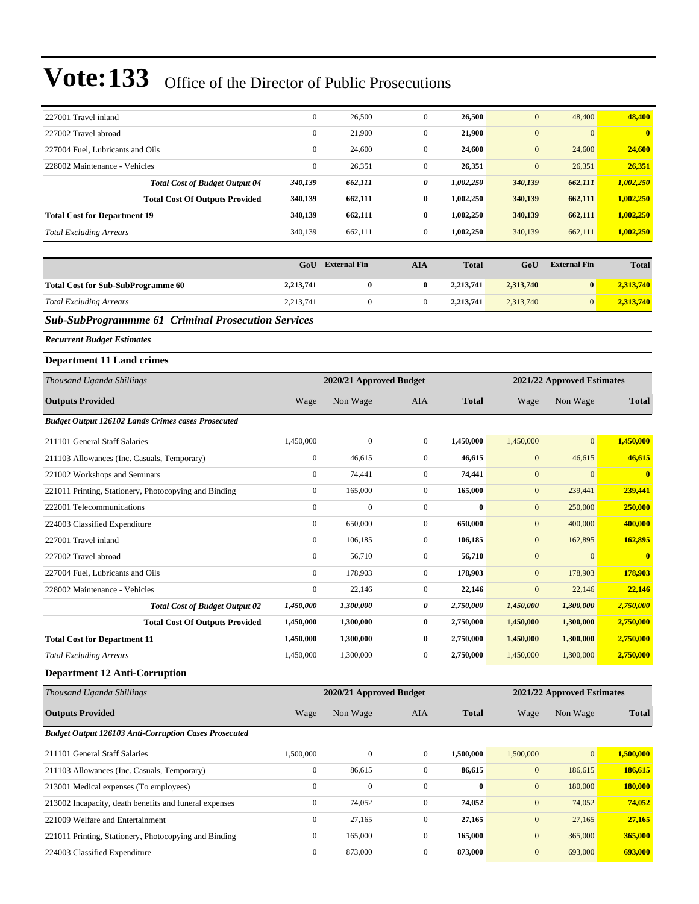| 227001 Travel inland                                         | $\boldsymbol{0}$ | 26,500                  | $\mathbf{0}$     | 26,500       | $\mathbf{0}$     | 48,400                     | 48,400       |
|--------------------------------------------------------------|------------------|-------------------------|------------------|--------------|------------------|----------------------------|--------------|
| 227002 Travel abroad                                         | $\boldsymbol{0}$ | 21,900                  | $\mathbf{0}$     | 21,900       | $\mathbf{0}$     | $\mathbf{0}$               | $\bf{0}$     |
| 227004 Fuel, Lubricants and Oils                             | $\overline{0}$   | 24,600                  | $\mathbf{0}$     | 24,600       | $\mathbf{0}$     | 24,600                     | 24,600       |
| 228002 Maintenance - Vehicles                                | $\boldsymbol{0}$ | 26,351                  | $\mathbf{0}$     | 26,351       | $\mathbf{0}$     | 26,351                     | 26,351       |
| <b>Total Cost of Budget Output 04</b>                        | 340,139          | 662,111                 | 0                | 1,002,250    | 340,139          | 662,111                    | 1,002,250    |
| <b>Total Cost Of Outputs Provided</b>                        | 340,139          | 662,111                 | $\bf{0}$         | 1,002,250    | 340,139          | 662,111                    | 1,002,250    |
| <b>Total Cost for Department 19</b>                          | 340,139          | 662,111                 | $\bf{0}$         | 1,002,250    | 340,139          | 662,111                    | 1,002,250    |
| <b>Total Excluding Arrears</b>                               | 340,139          | 662,111                 | $\mathbf{0}$     | 1,002,250    | 340,139          | 662,111                    | 1,002,250    |
|                                                              |                  |                         |                  |              |                  |                            |              |
|                                                              | GoU              | <b>External Fin</b>     | <b>AIA</b>       | <b>Total</b> | GoU              | <b>External Fin</b>        | <b>Total</b> |
| <b>Total Cost for Sub-SubProgramme 60</b>                    | 2,213,741        | $\boldsymbol{0}$        | $\bf{0}$         | 2,213,741    | 2,313,740        | $\bf{0}$                   | 2,313,740    |
| <b>Total Excluding Arrears</b>                               | 2,213,741        | $\boldsymbol{0}$        | $\boldsymbol{0}$ | 2,213,741    | 2,313,740        | $\mathbf{0}$               | 2,313,740    |
| <b>Sub-SubProgrammme 61 Criminal Prosecution Services</b>    |                  |                         |                  |              |                  |                            |              |
| <b>Recurrent Budget Estimates</b>                            |                  |                         |                  |              |                  |                            |              |
| <b>Department 11 Land crimes</b>                             |                  |                         |                  |              |                  |                            |              |
| Thousand Uganda Shillings                                    |                  | 2020/21 Approved Budget |                  |              |                  | 2021/22 Approved Estimates |              |
| <b>Outputs Provided</b>                                      | Wage             | Non Wage                | AIA              | <b>Total</b> | Wage             | Non Wage                   | <b>Total</b> |
| <b>Budget Output 126102 Lands Crimes cases Prosecuted</b>    |                  |                         |                  |              |                  |                            |              |
| 211101 General Staff Salaries                                | 1,450,000        | $\mathbf{0}$            | $\mathbf{0}$     | 1,450,000    | 1,450,000        | $\mathbf{0}$               | 1,450,000    |
| 211103 Allowances (Inc. Casuals, Temporary)                  | $\boldsymbol{0}$ | 46,615                  | $\mathbf{0}$     | 46,615       | $\boldsymbol{0}$ | 46,615                     | 46,615       |
| 221002 Workshops and Seminars                                | $\boldsymbol{0}$ | 74,441                  | $\mathbf{0}$     | 74,441       | $\boldsymbol{0}$ | $\mathbf{0}$               | $\bf{0}$     |
| 221011 Printing, Stationery, Photocopying and Binding        | $\boldsymbol{0}$ | 165,000                 | $\mathbf{0}$     | 165,000      | $\mathbf{0}$     | 239,441                    | 239,441      |
| 222001 Telecommunications                                    | $\boldsymbol{0}$ | $\mathbf{0}$            | $\mathbf{0}$     | $\bf{0}$     | $\mathbf{0}$     | 250,000                    | 250,000      |
| 224003 Classified Expenditure                                | $\boldsymbol{0}$ | 650,000                 | $\mathbf{0}$     | 650,000      | $\mathbf{0}$     | 400,000                    | 400,000      |
| 227001 Travel inland                                         | $\overline{0}$   | 106,185                 | $\mathbf{0}$     | 106,185      | $\mathbf{0}$     | 162,895                    | 162,895      |
| 227002 Travel abroad                                         | $\boldsymbol{0}$ | 56,710                  | $\mathbf{0}$     | 56,710       | $\mathbf{0}$     | $\mathbf{0}$               | $\bf{0}$     |
| 227004 Fuel, Lubricants and Oils                             | $\boldsymbol{0}$ | 178,903                 | $\mathbf{0}$     | 178,903      | $\mathbf{0}$     | 178,903                    | 178,903      |
| 228002 Maintenance - Vehicles                                | $\boldsymbol{0}$ | 22,146                  | $\mathbf{0}$     | 22,146       | $\mathbf{0}$     | 22,146                     | 22,146       |
| <b>Total Cost of Budget Output 02</b>                        | 1,450,000        | 1,300,000               | 0                | 2,750,000    | 1,450,000        | 1,300,000                  | 2,750,000    |
| <b>Total Cost Of Outputs Provided</b>                        | 1,450,000        | 1,300,000               | $\bf{0}$         | 2,750,000    | 1,450,000        | 1,300,000                  | 2,750,000    |
| <b>Total Cost for Department 11</b>                          | 1,450,000        | 1,300,000               | $\bf{0}$         | 2,750,000    | 1,450,000        | 1,300,000                  | 2,750,000    |
| <b>Total Excluding Arrears</b>                               | 1,450,000        | 1,300,000               | $\boldsymbol{0}$ | 2,750,000    | 1,450,000        | 1,300,000                  | 2,750,000    |
| <b>Department 12 Anti-Corruption</b>                         |                  |                         |                  |              |                  |                            |              |
| Thousand Uganda Shillings                                    |                  | 2020/21 Approved Budget |                  |              |                  | 2021/22 Approved Estimates |              |
| <b>Outputs Provided</b>                                      | Wage             | Non Wage                | AIA              | <b>Total</b> | Wage             | Non Wage                   | <b>Total</b> |
| <b>Budget Output 126103 Anti-Corruption Cases Prosecuted</b> |                  |                         |                  |              |                  |                            |              |
| 211101 General Staff Salaries                                | 1,500,000        | $\boldsymbol{0}$        | $\boldsymbol{0}$ | 1,500,000    | 1,500,000        | $\mathbf{0}$               | 1,500,000    |
| 211103 Allowances (Inc. Casuals, Temporary)                  | $\boldsymbol{0}$ | 86,615                  | $\boldsymbol{0}$ | 86,615       | $\boldsymbol{0}$ | 186,615                    | 186,615      |
| 213001 Medical expenses (To employees)                       | $\boldsymbol{0}$ | $\boldsymbol{0}$        | $\boldsymbol{0}$ | $\bf{0}$     | $\boldsymbol{0}$ | 180,000                    | 180,000      |
| 213002 Incapacity, death benefits and funeral expenses       | $\boldsymbol{0}$ | 74,052                  | $\boldsymbol{0}$ | 74,052       | $\mathbf{0}$     | 74,052                     | 74,052       |
| 221009 Welfare and Entertainment                             | $\boldsymbol{0}$ | 27,165                  | $\boldsymbol{0}$ | 27,165       | $\boldsymbol{0}$ | 27,165                     | 27,165       |
| 221011 Printing, Stationery, Photocopying and Binding        | $\boldsymbol{0}$ | 165,000                 | $\boldsymbol{0}$ | 165,000      | $\boldsymbol{0}$ | 365,000                    | 365,000      |
| 224003 Classified Expenditure                                | $\boldsymbol{0}$ | 873,000                 | $\boldsymbol{0}$ | 873,000      | $\boldsymbol{0}$ | 693,000                    | 693,000      |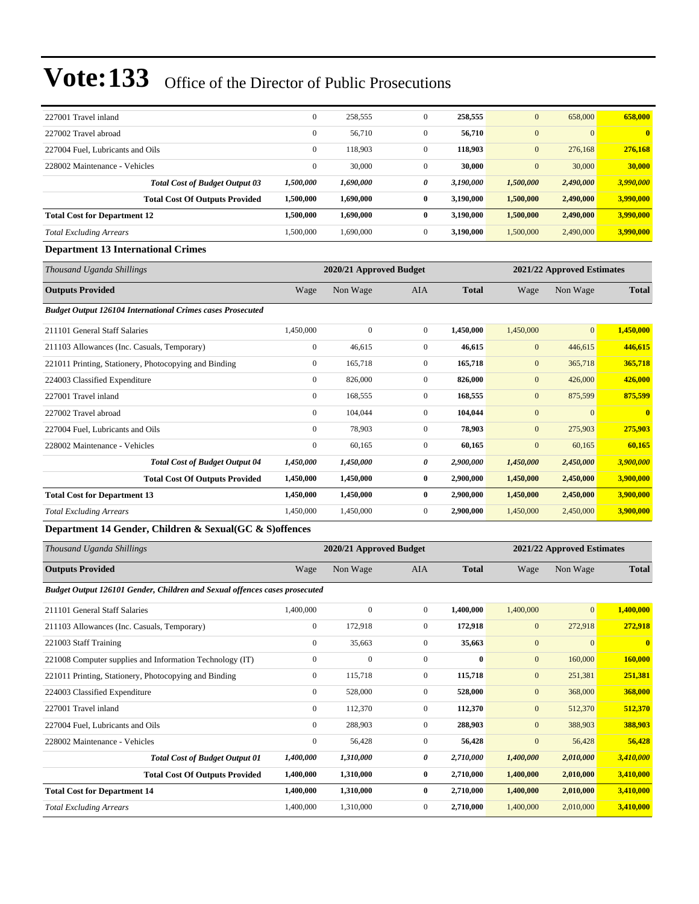| 227001 Travel inland                                              | $\boldsymbol{0}$ | 258,555                 | $\boldsymbol{0}$ | 258,555      | $\mathbf{0}$   | 658,000                    | 658,000      |  |
|-------------------------------------------------------------------|------------------|-------------------------|------------------|--------------|----------------|----------------------------|--------------|--|
| 227002 Travel abroad                                              | $\mathbf{0}$     | 56,710                  | $\mathbf{0}$     | 56,710       | $\mathbf{0}$   | $\overline{0}$             | $\bf{0}$     |  |
| 227004 Fuel, Lubricants and Oils                                  | $\mathbf{0}$     | 118,903                 | $\overline{0}$   | 118,903      | $\mathbf{0}$   | 276,168                    | 276,168      |  |
| 228002 Maintenance - Vehicles                                     | $\mathbf{0}$     | 30,000                  | $\overline{0}$   | 30,000       | $\mathbf{0}$   | 30,000                     | 30,000       |  |
| <b>Total Cost of Budget Output 03</b>                             | 1,500,000        | 1,690,000               | 0                | 3,190,000    | 1,500,000      | 2,490,000                  | 3,990,000    |  |
| <b>Total Cost Of Outputs Provided</b>                             | 1,500,000        | 1,690,000               | $\bf{0}$         | 3,190,000    | 1,500,000      | 2,490,000                  | 3,990,000    |  |
| <b>Total Cost for Department 12</b>                               | 1,500,000        | 1,690,000               | $\bf{0}$         | 3,190,000    | 1,500,000      | 2,490,000                  | 3,990,000    |  |
| <b>Total Excluding Arrears</b>                                    | 1,500,000        | 1,690,000               | $\mathbf{0}$     | 3,190,000    | 1,500,000      | 2,490,000                  | 3,990,000    |  |
| <b>Department 13 International Crimes</b>                         |                  |                         |                  |              |                |                            |              |  |
| Thousand Uganda Shillings                                         |                  | 2020/21 Approved Budget |                  |              |                | 2021/22 Approved Estimates |              |  |
| <b>Outputs Provided</b>                                           | Wage             | Non Wage                | <b>AIA</b>       | <b>Total</b> | Wage           | Non Wage                   | <b>Total</b> |  |
| <b>Budget Output 126104 International Crimes cases Prosecuted</b> |                  |                         |                  |              |                |                            |              |  |
| 211101 General Staff Salaries                                     | 1,450,000        | $\mathbf{0}$            | $\mathbf{0}$     | 1,450,000    | 1,450,000      | $\overline{0}$             | 1,450,000    |  |
| 211103 Allowances (Inc. Casuals, Temporary)                       | $\mathbf{0}$     | 46,615                  | $\mathbf{0}$     | 46,615       | $\mathbf{0}$   | 446,615                    | 446,615      |  |
| 221011 Printing, Stationery, Photocopying and Binding             | $\boldsymbol{0}$ | 165,718                 | $\boldsymbol{0}$ | 165,718      | $\mathbf{0}$   | 365,718                    | 365,718      |  |
| 224003 Classified Expenditure                                     | $\mathbf{0}$     | 826,000                 | $\mathbf{0}$     | 826,000      | $\mathbf{0}$   | 426,000                    | 426,000      |  |
| 227001 Travel inland                                              | $\mathbf{0}$     | 168,555                 | $\overline{0}$   | 168,555      | $\mathbf{0}$   | 875,599                    | 875,599      |  |
| 227002 Travel abroad                                              | $\mathbf{0}$     | 104,044                 | $\overline{0}$   | 104,044      | $\mathbf{0}$   | $\overline{0}$             | $\bf{0}$     |  |
| 227004 Fuel, Lubricants and Oils                                  | $\mathbf{0}$     | 78,903                  | $\overline{0}$   | 78,903       | $\mathbf{0}$   | 275,903                    | 275,903      |  |
| 228002 Maintenance - Vehicles                                     | $\Omega$         | 60,165                  | $\overline{0}$   | 60,165       | $\overline{0}$ | 60,165                     | 60,165       |  |
| <b>Total Cost of Budget Output 04</b>                             | 1,450,000        | 1,450,000               | 0                | 2,900,000    | 1,450,000      | 2,450,000                  | 3,900,000    |  |
| <b>Total Cost Of Outputs Provided</b>                             | 1,450,000        | 1,450,000               | $\bf{0}$         | 2,900,000    | 1,450,000      | 2,450,000                  | 3,900,000    |  |
| <b>Total Cost for Department 13</b>                               | 1,450,000        | 1,450,000               | $\bf{0}$         | 2,900,000    | 1,450,000      | 2,450,000                  | 3,900,000    |  |
| <b>Total Excluding Arrears</b>                                    | 1,450,000        | 1,450,000               | $\mathbf{0}$     | 2,900,000    | 1,450,000      | 2,450,000                  | 3,900,000    |  |

### **Department 14 Gender, Children & Sexual(GC & S)offences**

| Thousand Uganda Shillings                                                         |           | 2020/21 Approved Budget |              |           | 2021/22 Approved Estimates |                |              |  |
|-----------------------------------------------------------------------------------|-----------|-------------------------|--------------|-----------|----------------------------|----------------|--------------|--|
| <b>Outputs Provided</b>                                                           | Wage      | Non Wage                | AIA          | Total     | Wage                       | Non Wage       | <b>Total</b> |  |
| <b>Budget Output 126101 Gender, Children and Sexual offences cases prosecuted</b> |           |                         |              |           |                            |                |              |  |
| 211101 General Staff Salaries                                                     | 1,400,000 | $\Omega$                | $\mathbf{0}$ | 1.400.000 | 1,400,000                  | $\overline{0}$ | 1,400,000    |  |
| 211103 Allowances (Inc. Casuals, Temporary)                                       |           | 172.918                 | $\mathbf{0}$ | 172,918   | $\overline{0}$             | 272,918        | 272,918      |  |
| 221003 Staff Training                                                             |           | 35,663                  | $\mathbf{0}$ | 35,663    | $\overline{0}$             | $\mathbf{0}$   | $\mathbf{0}$ |  |
| 221008 Computer supplies and Information Technology (IT)                          |           | $\mathbf{0}$            | $\mathbf{0}$ | $\bf{0}$  | $\mathbf{0}$               | 160,000        | 160,000      |  |

|                                     | 221011 Printing, Stationery, Photocopying and Binding | $\mathbf{0}$ | 115,718   | 0            | 115,718   | $\overline{0}$ | 251,381   | 251,381   |
|-------------------------------------|-------------------------------------------------------|--------------|-----------|--------------|-----------|----------------|-----------|-----------|
| 224003 Classified Expenditure       |                                                       | $\mathbf{0}$ | 528,000   | $\mathbf{0}$ | 528,000   | $\overline{0}$ | 368,000   | 368,000   |
| 227001 Travel inland                |                                                       | $\mathbf{0}$ | 112,370   | $\mathbf{0}$ | 112,370   | $\overline{0}$ | 512,370   | 512,370   |
| 227004 Fuel. Lubricants and Oils    |                                                       | $\mathbf{0}$ | 288,903   | $\mathbf{0}$ | 288.903   | $\overline{0}$ | 388,903   | 388,903   |
| 228002 Maintenance - Vehicles       |                                                       | $\mathbf{0}$ | 56,428    | $\mathbf{0}$ | 56,428    | $\mathbf{0}$   | 56,428    | 56,428    |
|                                     | <b>Total Cost of Budget Output 01</b>                 | 1,400,000    | 1,310,000 | 0            | 2,710,000 | 1,400,000      | 2,010,000 | 3,410,000 |
|                                     | <b>Total Cost Of Outputs Provided</b>                 | 1,400,000    | 1,310,000 | 0            | 2.710.000 | 1,400,000      | 2.010.000 | 3,410,000 |
| <b>Total Cost for Department 14</b> |                                                       | 1.400.000    | 1,310,000 | 0            | 2.710.000 | 1.400,000      | 2.010.000 | 3,410,000 |
| <b>Total Excluding Arrears</b>      |                                                       | 1.400.000    | 1.310.000 | $\Omega$     | 2.710.000 | 1,400,000      | 2.010.000 | 3.410.000 |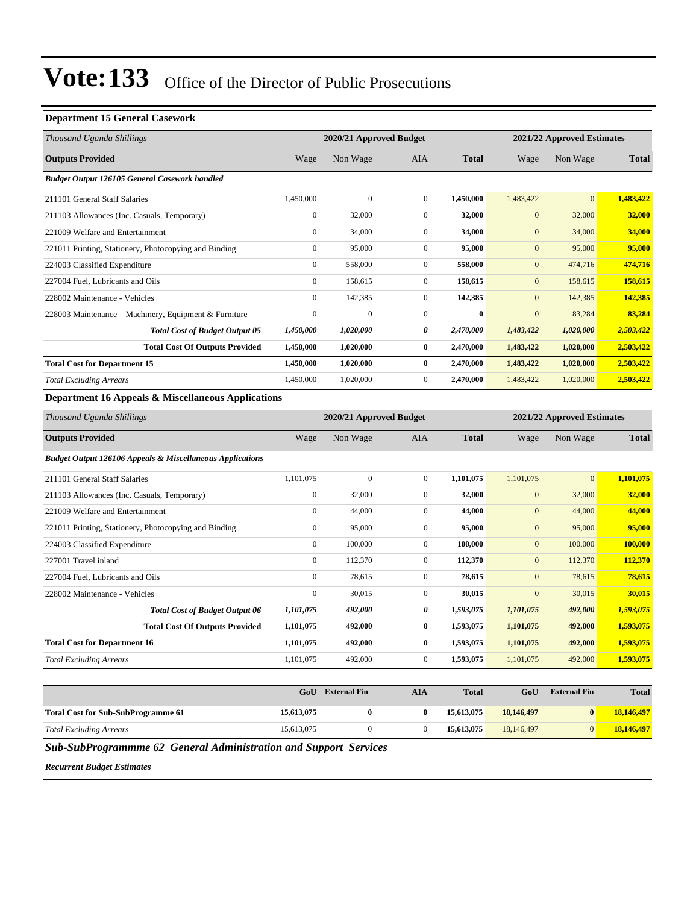#### **Department 15 General Casework**

| Thousand Uganda Shillings                                            |                  | 2020/21 Approved Budget |                       |              |                  | 2021/22 Approved Estimates |              |
|----------------------------------------------------------------------|------------------|-------------------------|-----------------------|--------------|------------------|----------------------------|--------------|
| <b>Outputs Provided</b>                                              | Wage             | Non Wage                | <b>AIA</b>            | <b>Total</b> | Wage             | Non Wage                   | <b>Total</b> |
| Budget Output 126105 General Casework handled                        |                  |                         |                       |              |                  |                            |              |
| 211101 General Staff Salaries                                        | 1,450,000        | $\boldsymbol{0}$        | $\boldsymbol{0}$      | 1,450,000    | 1,483,422        | $\boldsymbol{0}$           | 1,483,422    |
| 211103 Allowances (Inc. Casuals, Temporary)                          | $\overline{0}$   | 32,000                  | $\mathbf{0}$          | 32,000       | $\boldsymbol{0}$ | 32,000                     | 32,000       |
| 221009 Welfare and Entertainment                                     | $\boldsymbol{0}$ | 34,000                  | $\mathbf{0}$          | 34,000       | $\boldsymbol{0}$ | 34,000                     | 34,000       |
| 221011 Printing, Stationery, Photocopying and Binding                | $\boldsymbol{0}$ | 95,000                  | $\mathbf{0}$          | 95,000       | $\boldsymbol{0}$ | 95,000                     | 95,000       |
| 224003 Classified Expenditure                                        | $\boldsymbol{0}$ | 558,000                 | $\boldsymbol{0}$      | 558,000      | $\boldsymbol{0}$ | 474,716                    | 474,716      |
| 227004 Fuel, Lubricants and Oils                                     | $\overline{0}$   | 158,615                 | $\mathbf{0}$          | 158,615      | $\boldsymbol{0}$ | 158,615                    | 158,615      |
| 228002 Maintenance - Vehicles                                        | $\boldsymbol{0}$ | 142,385                 | $\mathbf{0}$          | 142,385      | $\boldsymbol{0}$ | 142,385                    | 142,385      |
| 228003 Maintenance – Machinery, Equipment & Furniture                | $\boldsymbol{0}$ | $\boldsymbol{0}$        | $\mathbf{0}$          | $\bf{0}$     | $\boldsymbol{0}$ | 83,284                     | 83,284       |
| <b>Total Cost of Budget Output 05</b>                                | 1,450,000        | 1,020,000               | $\boldsymbol{\theta}$ | 2,470,000    | 1,483,422        | 1,020,000                  | 2,503,422    |
| <b>Total Cost Of Outputs Provided</b>                                | 1,450,000        | 1,020,000               | $\bf{0}$              | 2,470,000    | 1,483,422        | 1,020,000                  | 2,503,422    |
| <b>Total Cost for Department 15</b>                                  | 1,450,000        | 1,020,000               | $\bf{0}$              | 2,470,000    | 1,483,422        | 1,020,000                  | 2,503,422    |
| <b>Total Excluding Arrears</b>                                       | 1,450,000        | 1,020,000               | $\mathbf{0}$          | 2,470,000    | 1,483,422        | 1,020,000                  | 2,503,422    |
| Department 16 Appeals & Miscellaneous Applications                   |                  |                         |                       |              |                  |                            |              |
| Thousand Uganda Shillings                                            |                  | 2020/21 Approved Budget |                       |              |                  | 2021/22 Approved Estimates |              |
| <b>Outputs Provided</b>                                              | Wage             | Non Wage                | AIA                   | <b>Total</b> | Wage             | Non Wage                   | <b>Total</b> |
| <b>Budget Output 126106 Appeals &amp; Miscellaneous Applications</b> |                  |                         |                       |              |                  |                            |              |
| 211101 General Staff Salaries                                        | 1,101,075        | $\mathbf{0}$            | $\mathbf{0}$          | 1,101,075    | 1,101,075        | $\mathbf{0}$               | 1,101,075    |
| 211103 Allowances (Inc. Casuals, Temporary)                          | $\boldsymbol{0}$ | 32,000                  | $\mathbf{0}$          | 32,000       | $\mathbf{0}$     | 32,000                     | 32,000       |
| 221009 Welfare and Entertainment                                     | $\boldsymbol{0}$ | 44,000                  | $\mathbf{0}$          | 44,000       | $\mathbf{0}$     | 44,000                     | 44,000       |
| 221011 Printing, Stationery, Photocopying and Binding                | $\boldsymbol{0}$ | 95,000                  | $\mathbf{0}$          | 95,000       | $\mathbf{0}$     | 95,000                     | 95,000       |
| 224003 Classified Expenditure                                        | $\boldsymbol{0}$ | 100,000                 | $\mathbf{0}$          | 100,000      | $\mathbf{0}$     | 100,000                    | 100,000      |
| 227001 Travel inland                                                 | $\overline{0}$   | 112,370                 | $\mathbf{0}$          | 112,370      | $\overline{0}$   | 112,370                    | 112,370      |
| 227004 Fuel, Lubricants and Oils                                     | $\overline{0}$   | 78,615                  | $\mathbf{0}$          | 78,615       | $\mathbf{0}$     | 78,615                     | 78,615       |
| 228002 Maintenance - Vehicles                                        | $\overline{0}$   | 30,015                  | $\boldsymbol{0}$      | 30,015       | $\boldsymbol{0}$ | 30,015                     | 30,015       |
| <b>Total Cost of Budget Output 06</b>                                | 1,101,075        | 492,000                 | $\pmb{\theta}$        | 1,593,075    | 1,101,075        | 492,000                    | 1,593,075    |
| <b>Total Cost Of Outputs Provided</b>                                | 1,101,075        | 492,000                 | $\bf{0}$              | 1,593,075    | 1,101,075        | 492,000                    | 1,593,075    |
| <b>Total Cost for Department 16</b>                                  | 1,101,075        | 492,000                 | $\boldsymbol{0}$      | 1,593,075    | 1,101,075        | 492,000                    | 1,593,075    |
| <b>Total Excluding Arrears</b>                                       | 1,101,075        | 492,000                 | $\mathbf{0}$          | 1,593,075    | 1,101,075        | 492,000                    | 1,593,075    |
|                                                                      |                  |                         |                       |              |                  |                            |              |
|                                                                      |                  | GoII External Fin       | <b>ATA</b>            | Total        | GoII             | <b>External Fin</b>        | Total        |

|                                           | GoU        | <b>External Fin</b> | AIA | <b>Total</b> | GoU        | <b>External Fin</b> | <b>Total</b> |
|-------------------------------------------|------------|---------------------|-----|--------------|------------|---------------------|--------------|
| <b>Total Cost for Sub-SubProgramme 61</b> | 15,613,075 |                     |     | 15,613,075   | 18,146,497 | $\mathbf{0}$        | 18,146,497   |
| <b>Total Excluding Arrears</b>            | 15,613,075 |                     |     | 15,613,075   | 18,146,497 |                     | 18,146,497   |

*Sub-SubProgrammme 62 General Administration and Support Services*

*Recurrent Budget Estimates*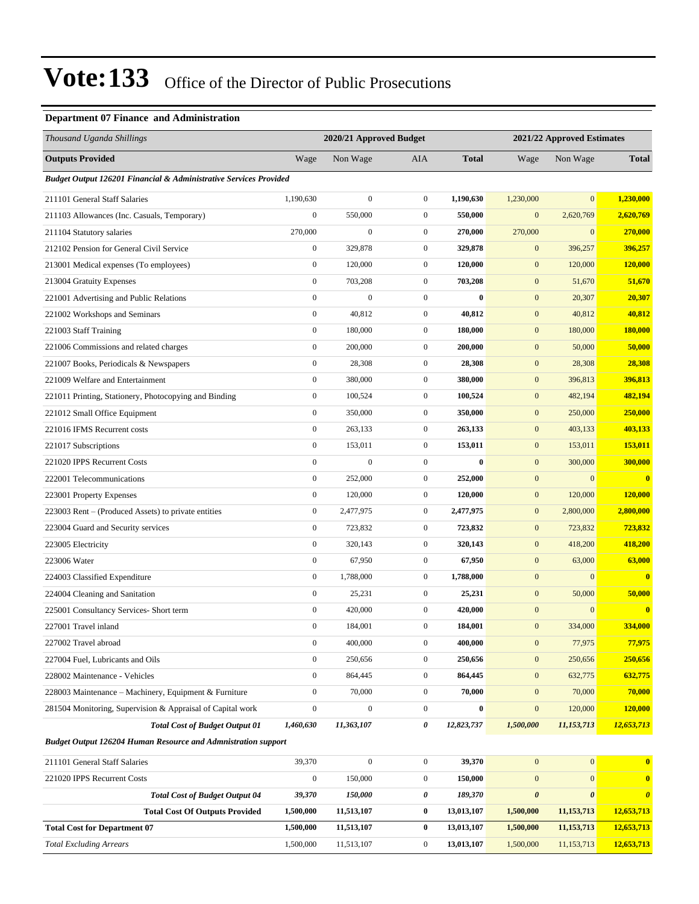### **Department 07 Finance and Administration**

| Thousand Uganda Shillings                                            |                  | 2020/21 Approved Budget |                  | 2021/22 Approved Estimates |                       |                       |                       |
|----------------------------------------------------------------------|------------------|-------------------------|------------------|----------------------------|-----------------------|-----------------------|-----------------------|
| <b>Outputs Provided</b>                                              | Wage             | Non Wage                | <b>AIA</b>       | <b>Total</b>               | Wage                  | Non Wage              | <b>Total</b>          |
| Budget Output 126201 Financial & Administrative Services Provided    |                  |                         |                  |                            |                       |                       |                       |
| 211101 General Staff Salaries                                        | 1,190,630        | $\boldsymbol{0}$        | $\mathbf{0}$     | 1,190,630                  | 1,230,000             | $\boldsymbol{0}$      | 1,230,000             |
| 211103 Allowances (Inc. Casuals, Temporary)                          | $\boldsymbol{0}$ | 550,000                 | $\boldsymbol{0}$ | 550,000                    | $\mathbf{0}$          | 2,620,769             | 2,620,769             |
| 211104 Statutory salaries                                            | 270,000          | 0                       | $\boldsymbol{0}$ | 270,000                    | 270,000               | $\mathbf{0}$          | 270,000               |
| 212102 Pension for General Civil Service                             | $\boldsymbol{0}$ | 329,878                 | $\boldsymbol{0}$ | 329,878                    | $\mathbf{0}$          | 396,257               | 396,257               |
| 213001 Medical expenses (To employees)                               | $\boldsymbol{0}$ | 120,000                 | $\boldsymbol{0}$ | 120,000                    | $\boldsymbol{0}$      | 120,000               | <b>120,000</b>        |
| 213004 Gratuity Expenses                                             | $\boldsymbol{0}$ | 703,208                 | $\boldsymbol{0}$ | 703,208                    | $\mathbf{0}$          | 51,670                | 51,670                |
| 221001 Advertising and Public Relations                              | $\boldsymbol{0}$ | $\overline{0}$          | $\boldsymbol{0}$ | $\bf{0}$                   | $\mathbf{0}$          | 20,307                | 20,307                |
| 221002 Workshops and Seminars                                        | $\boldsymbol{0}$ | 40,812                  | $\boldsymbol{0}$ | 40,812                     | $\mathbf{0}$          | 40,812                | 40,812                |
| 221003 Staff Training                                                | $\boldsymbol{0}$ | 180,000                 | $\boldsymbol{0}$ | 180,000                    | $\mathbf{0}$          | 180,000               | 180,000               |
| 221006 Commissions and related charges                               | $\boldsymbol{0}$ | 200,000                 | $\boldsymbol{0}$ | 200,000                    | $\boldsymbol{0}$      | 50,000                | 50,000                |
| 221007 Books, Periodicals & Newspapers                               | $\boldsymbol{0}$ | 28,308                  | $\boldsymbol{0}$ | 28,308                     | $\mathbf{0}$          | 28,308                | 28,308                |
| 221009 Welfare and Entertainment                                     | $\boldsymbol{0}$ | 380,000                 | $\boldsymbol{0}$ | 380,000                    | $\boldsymbol{0}$      | 396,813               | 396,813               |
| 221011 Printing, Stationery, Photocopying and Binding                | $\boldsymbol{0}$ | 100,524                 | $\boldsymbol{0}$ | 100,524                    | $\mathbf{0}$          | 482,194               | 482,194               |
| 221012 Small Office Equipment                                        | $\boldsymbol{0}$ | 350,000                 | $\boldsymbol{0}$ | 350,000                    | $\mathbf{0}$          | 250,000               | 250,000               |
| 221016 IFMS Recurrent costs                                          | $\boldsymbol{0}$ | 263,133                 | $\boldsymbol{0}$ | 263,133                    | $\boldsymbol{0}$      | 403,133               | 403,133               |
| 221017 Subscriptions                                                 | $\boldsymbol{0}$ | 153,011                 | $\boldsymbol{0}$ | 153,011                    | $\mathbf{0}$          | 153,011               | 153,011               |
| 221020 IPPS Recurrent Costs                                          | $\boldsymbol{0}$ | $\overline{0}$          | $\boldsymbol{0}$ | $\bf{0}$                   | $\mathbf{0}$          | 300,000               | 300,000               |
| 222001 Telecommunications                                            | $\boldsymbol{0}$ | 252,000                 | $\boldsymbol{0}$ | 252,000                    | $\mathbf{0}$          | $\mathbf{0}$          | $\bf{0}$              |
| 223001 Property Expenses                                             | $\boldsymbol{0}$ | 120,000                 | $\boldsymbol{0}$ | 120,000                    | $\mathbf{0}$          | 120,000               | 120,000               |
| 223003 Rent – (Produced Assets) to private entities                  | $\boldsymbol{0}$ | 2,477,975               | $\boldsymbol{0}$ | 2,477,975                  | $\boldsymbol{0}$      | 2,800,000             | 2,800,000             |
| 223004 Guard and Security services                                   | $\boldsymbol{0}$ | 723,832                 | $\boldsymbol{0}$ | 723,832                    | $\mathbf{0}$          | 723,832               | 723,832               |
| 223005 Electricity                                                   | $\boldsymbol{0}$ | 320,143                 | $\boldsymbol{0}$ | 320,143                    | $\mathbf{0}$          | 418,200               | 418,200               |
| 223006 Water                                                         | $\boldsymbol{0}$ | 67,950                  | $\boldsymbol{0}$ | 67,950                     | $\mathbf{0}$          | 63,000                | 63,000                |
| 224003 Classified Expenditure                                        | $\boldsymbol{0}$ | 1,788,000               | $\boldsymbol{0}$ | 1,788,000                  | $\mathbf{0}$          | $\boldsymbol{0}$      | $\bf{0}$              |
| 224004 Cleaning and Sanitation                                       | $\boldsymbol{0}$ | 25,231                  | $\boldsymbol{0}$ | 25,231                     | $\boldsymbol{0}$      | 50,000                | 50,000                |
| 225001 Consultancy Services- Short term                              | $\boldsymbol{0}$ | 420,000                 | $\boldsymbol{0}$ | 420,000                    | $\mathbf{0}$          | $\overline{0}$        | $\bf{0}$              |
| 227001 Travel inland                                                 | $\boldsymbol{0}$ | 184,001                 | $\overline{0}$   | 184,001                    | $\mathbf{0}$          | 334,000               | 334,000               |
| 227002 Travel abroad                                                 | $\boldsymbol{0}$ | 400,000                 | $\boldsymbol{0}$ | 400,000                    | $\boldsymbol{0}$      | 77,975                | 77,975                |
| 227004 Fuel, Lubricants and Oils                                     | $\boldsymbol{0}$ | 250,656                 | $\boldsymbol{0}$ | 250,656                    | $\mathbf{0}$          | 250,656               | 250,656               |
| 228002 Maintenance - Vehicles                                        | $\mathbf{0}$     | 864,445                 | $\boldsymbol{0}$ | 864,445                    | $\boldsymbol{0}$      | 632,775               | 632,775               |
| 228003 Maintenance - Machinery, Equipment & Furniture                | $\boldsymbol{0}$ | 70,000                  | $\boldsymbol{0}$ | 70,000                     | $\boldsymbol{0}$      | 70,000                | 70,000                |
| 281504 Monitoring, Supervision & Appraisal of Capital work           | $\boldsymbol{0}$ | $\boldsymbol{0}$        | $\boldsymbol{0}$ | $\boldsymbol{0}$           | $\boldsymbol{0}$      | 120,000               | 120,000               |
| <b>Total Cost of Budget Output 01</b>                                | 1,460,630        | 11,363,107              | 0                | 12,823,737                 | 1,500,000             | 11,153,713            | 12,653,713            |
| <b>Budget Output 126204 Human Resource and Admnistration support</b> |                  |                         |                  |                            |                       |                       |                       |
| 211101 General Staff Salaries                                        | 39,370           | $\boldsymbol{0}$        | $\boldsymbol{0}$ | 39,370                     | $\boldsymbol{0}$      | $\mathbf{0}$          | $\bf{0}$              |
| 221020 IPPS Recurrent Costs                                          | $\boldsymbol{0}$ | 150,000                 | $\boldsymbol{0}$ | 150,000                    | $\boldsymbol{0}$      | $\mathbf{0}$          | $\bf{0}$              |
| <b>Total Cost of Budget Output 04</b>                                | 39,370           | 150,000                 | 0                | 189,370                    | $\boldsymbol{\theta}$ | $\boldsymbol{\theta}$ | $\boldsymbol{\theta}$ |
| <b>Total Cost Of Outputs Provided</b>                                | 1,500,000        | 11,513,107              | 0                | 13,013,107                 | 1,500,000             | 11, 153, 713          | 12,653,713            |
| <b>Total Cost for Department 07</b>                                  | 1,500,000        | 11,513,107              | $\boldsymbol{0}$ | 13,013,107                 | 1,500,000             | 11, 153, 713          | 12,653,713            |
| <b>Total Excluding Arrears</b>                                       | 1,500,000        | 11,513,107              | $\boldsymbol{0}$ | 13,013,107                 | 1,500,000             | 11,153,713            | 12,653,713            |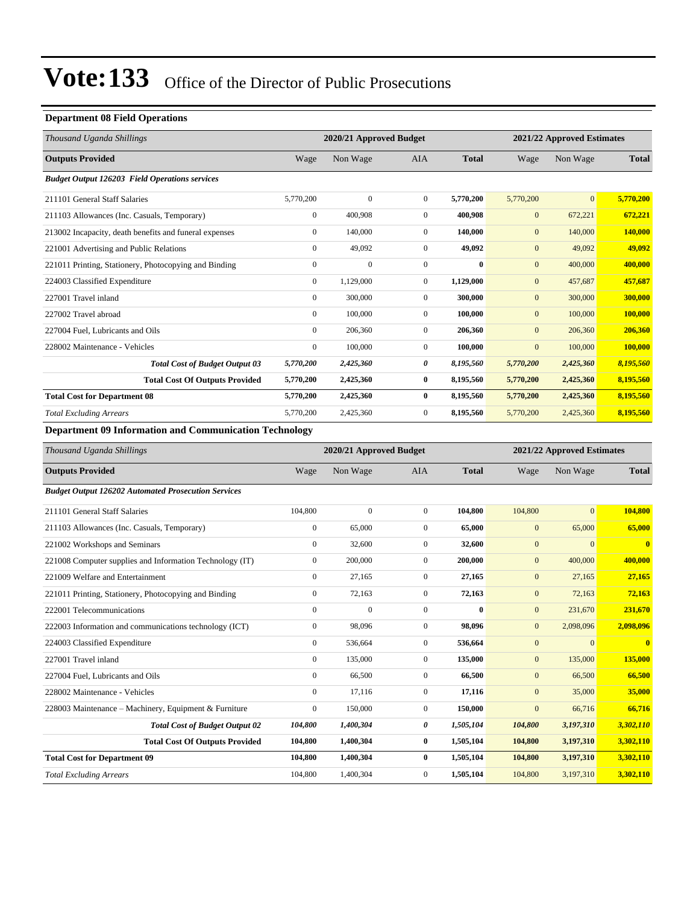### **Department 08 Field Operations**

| Thousand Uganda Shillings                                     | 2020/21 Approved Budget<br>2021/22 Approved Estimates |              |                |              |                |                |              |
|---------------------------------------------------------------|-------------------------------------------------------|--------------|----------------|--------------|----------------|----------------|--------------|
| <b>Outputs Provided</b>                                       | Wage                                                  | Non Wage     | <b>AIA</b>     | <b>Total</b> | Wage           | Non Wage       | <b>Total</b> |
| <b>Budget Output 126203 Field Operations services</b>         |                                                       |              |                |              |                |                |              |
| 211101 General Staff Salaries                                 | 5,770,200                                             | $\mathbf{0}$ | $\overline{0}$ | 5,770,200    | 5,770,200      | $\overline{0}$ | 5,770,200    |
| 211103 Allowances (Inc. Casuals, Temporary)                   | $\mathbf{0}$                                          | 400,908      | $\overline{0}$ | 400,908      | $\mathbf{0}$   | 672,221        | 672,221      |
| 213002 Incapacity, death benefits and funeral expenses        | $\mathbf{0}$                                          | 140,000      | $\overline{0}$ | 140,000      | $\mathbf{0}$   | 140,000        | 140,000      |
| 221001 Advertising and Public Relations                       | $\mathbf{0}$                                          | 49,092       | $\overline{0}$ | 49,092       | $\mathbf{0}$   | 49,092         | 49,092       |
| 221011 Printing, Stationery, Photocopying and Binding         | $\boldsymbol{0}$                                      | $\Omega$     | $\Omega$       | 0            | $\mathbf{0}$   | 400,000        | 400,000      |
| 224003 Classified Expenditure                                 | $\mathbf{0}$                                          | 1,129,000    | $\overline{0}$ | 1,129,000    | $\mathbf{0}$   | 457,687        | 457,687      |
| 227001 Travel inland                                          | $\mathbf{0}$                                          | 300,000      | $\Omega$       | 300,000      | $\mathbf{0}$   | 300,000        | 300,000      |
| 227002 Travel abroad                                          | $\mathbf{0}$                                          | 100,000      | $\overline{0}$ | 100,000      | $\mathbf{0}$   | 100,000        | 100,000      |
| 227004 Fuel, Lubricants and Oils                              | $\Omega$                                              | 206,360      | $\Omega$       | 206,360      | $\mathbf{0}$   | 206,360        | 206,360      |
| 228002 Maintenance - Vehicles                                 | $\Omega$                                              | 100,000      | $\Omega$       | 100,000      | $\overline{0}$ | 100,000        | 100,000      |
| <b>Total Cost of Budget Output 03</b>                         | 5,770,200                                             | 2,425,360    | 0              | 8,195,560    | 5,770,200      | 2,425,360      | 8,195,560    |
| <b>Total Cost Of Outputs Provided</b>                         | 5,770,200                                             | 2,425,360    | $\bf{0}$       | 8,195,560    | 5,770,200      | 2,425,360      | 8,195,560    |
| <b>Total Cost for Department 08</b>                           | 5,770,200                                             | 2,425,360    | $\bf{0}$       | 8,195,560    | 5,770,200      | 2,425,360      | 8,195,560    |
| <b>Total Excluding Arrears</b>                                | 5,770,200                                             | 2,425,360    | $\overline{0}$ | 8,195,560    | 5,770,200      | 2,425,360      | 8,195,560    |
| <b>Department 09 Information and Communication Technology</b> |                                                       |              |                |              |                |                |              |

| Thousand Uganda Shillings                                  |                | 2020/21 Approved Budget |                |              |                  |              | 2021/22 Approved Estimates |  |
|------------------------------------------------------------|----------------|-------------------------|----------------|--------------|------------------|--------------|----------------------------|--|
| <b>Outputs Provided</b>                                    | Wage           | Non Wage                | <b>AIA</b>     | <b>Total</b> | Wage             | Non Wage     | <b>Total</b>               |  |
| <b>Budget Output 126202 Automated Prosecution Services</b> |                |                         |                |              |                  |              |                            |  |
| 211101 General Staff Salaries                              | 104,800        | $\mathbf{0}$            | $\overline{0}$ | 104,800      | 104,800          | $\mathbf{0}$ | 104,800                    |  |
| 211103 Allowances (Inc. Casuals, Temporary)                | $\mathbf{0}$   | 65,000                  | $\overline{0}$ | 65,000       | $\mathbf{0}$     | 65,000       | 65,000                     |  |
| 221002 Workshops and Seminars                              | $\mathbf{0}$   | 32,600                  | $\overline{0}$ | 32,600       | $\mathbf{0}$     | $\mathbf{0}$ | $\bf{0}$                   |  |
| 221008 Computer supplies and Information Technology (IT)   | $\mathbf{0}$   | 200,000                 | $\overline{0}$ | 200,000      | $\mathbf{0}$     | 400,000      | 400,000                    |  |
| 221009 Welfare and Entertainment                           | $\mathbf{0}$   | 27,165                  | $\overline{0}$ | 27,165       | $\mathbf{0}$     | 27,165       | 27,165                     |  |
| 221011 Printing, Stationery, Photocopying and Binding      | $\mathbf{0}$   | 72,163                  | 0              | 72,163       | $\mathbf{0}$     | 72,163       | 72,163                     |  |
| 222001 Telecommunications                                  | $\Omega$       | $\Omega$                | $\Omega$       | $\bf{0}$     | $\boldsymbol{0}$ | 231,670      | 231,670                    |  |
| 222003 Information and communications technology (ICT)     | $\Omega$       | 98,096                  | $\overline{0}$ | 98.096       | $\overline{0}$   | 2,098,096    | 2,098,096                  |  |
| 224003 Classified Expenditure                              | $\overline{0}$ | 536,664                 | $\overline{0}$ | 536,664      | $\mathbf{0}$     | $\mathbf{0}$ | $\bf{0}$                   |  |
| 227001 Travel inland                                       | $\mathbf{0}$   | 135,000                 | $\overline{0}$ | 135,000      | $\mathbf{0}$     | 135,000      | 135,000                    |  |
| 227004 Fuel, Lubricants and Oils                           | $\mathbf{0}$   | 66,500                  | $\overline{0}$ | 66,500       | $\mathbf{0}$     | 66,500       | 66,500                     |  |
| 228002 Maintenance - Vehicles                              | $\overline{0}$ | 17,116                  | 0              | 17,116       | $\mathbf{0}$     | 35,000       | 35,000                     |  |
| 228003 Maintenance – Machinery, Equipment & Furniture      | $\mathbf{0}$   | 150,000                 | $\overline{0}$ | 150,000      | $\boldsymbol{0}$ | 66,716       | 66,716                     |  |
| <b>Total Cost of Budget Output 02</b>                      | 104,800        | 1,400,304               | 0              | 1,505,104    | 104,800          | 3,197,310    | 3,302,110                  |  |
| <b>Total Cost Of Outputs Provided</b>                      | 104,800        | 1,400,304               | $\bf{0}$       | 1,505,104    | 104,800          | 3,197,310    | 3,302,110                  |  |
| <b>Total Cost for Department 09</b>                        | 104,800        | 1,400,304               | $\bf{0}$       | 1,505,104    | 104,800          | 3,197,310    | 3,302,110                  |  |
| <b>Total Excluding Arrears</b>                             | 104,800        | 1,400,304               | $\overline{0}$ | 1,505,104    | 104,800          | 3,197,310    | 3,302,110                  |  |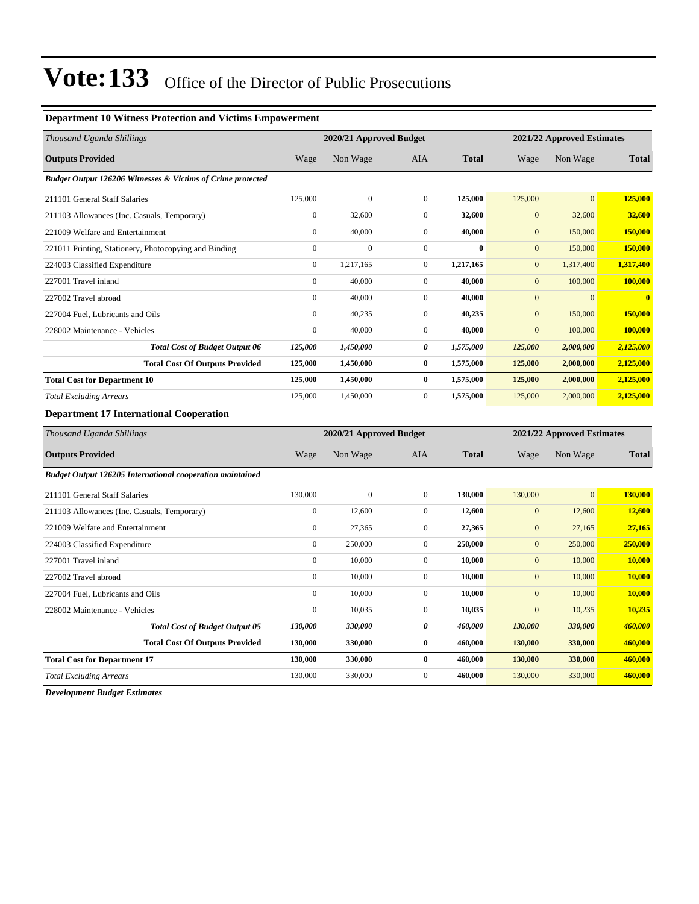#### **Department 10 Witness Protection and Victims Empowerment**

| Thousand Uganda Shillings                                   |                  | 2020/21 Approved Budget |                  |              | 2021/22 Approved Estimates |                |                            |  |
|-------------------------------------------------------------|------------------|-------------------------|------------------|--------------|----------------------------|----------------|----------------------------|--|
| <b>Outputs Provided</b>                                     | Wage             | Non Wage                | AIA              | <b>Total</b> | Wage                       | Non Wage       | <b>Total</b>               |  |
| Budget Output 126206 Witnesses & Victims of Crime protected |                  |                         |                  |              |                            |                |                            |  |
| 211101 General Staff Salaries                               | 125,000          | $\boldsymbol{0}$        | $\boldsymbol{0}$ | 125,000      | 125,000                    | $\overline{0}$ | 125,000                    |  |
| 211103 Allowances (Inc. Casuals, Temporary)                 | $\boldsymbol{0}$ | 32,600                  | $\boldsymbol{0}$ | 32,600       | $\mathbf{0}$               | 32,600         | 32,600                     |  |
| 221009 Welfare and Entertainment                            | $\boldsymbol{0}$ | 40,000                  | $\boldsymbol{0}$ | 40,000       | $\boldsymbol{0}$           | 150,000        | 150,000                    |  |
| 221011 Printing, Stationery, Photocopying and Binding       | $\boldsymbol{0}$ | $\mathbf{0}$            | $\boldsymbol{0}$ | $\bf{0}$     | $\mathbf{0}$               | 150,000        | 150,000                    |  |
| 224003 Classified Expenditure                               | $\boldsymbol{0}$ | 1,217,165               | $\boldsymbol{0}$ | 1,217,165    | $\overline{0}$             | 1,317,400      | 1,317,400                  |  |
| 227001 Travel inland                                        | $\boldsymbol{0}$ | 40,000                  | $\boldsymbol{0}$ | 40,000       | $\boldsymbol{0}$           | 100,000        | 100,000                    |  |
| 227002 Travel abroad                                        | $\boldsymbol{0}$ | 40,000                  | $\boldsymbol{0}$ | 40,000       | $\boldsymbol{0}$           | $\mathbf{0}$   |                            |  |
| 227004 Fuel, Lubricants and Oils                            | $\boldsymbol{0}$ | 40,235                  | $\boldsymbol{0}$ | 40,235       | $\overline{0}$             | 150,000        | 150,000                    |  |
| 228002 Maintenance - Vehicles                               | $\boldsymbol{0}$ | 40,000                  | $\boldsymbol{0}$ | 40,000       | $\mathbf{0}$               | 100,000        | 100,000                    |  |
| <b>Total Cost of Budget Output 06</b>                       | 125,000          | 1,450,000               | $\pmb{\theta}$   | 1,575,000    | 125,000                    | 2,000,000      | 2,125,000                  |  |
| <b>Total Cost Of Outputs Provided</b>                       | 125,000          | 1,450,000               | $\bf{0}$         | 1,575,000    | 125,000                    | 2,000,000      | 2,125,000                  |  |
| <b>Total Cost for Department 10</b>                         | 125,000          | 1,450,000               | $\bf{0}$         | 1,575,000    | 125,000                    | 2,000,000      | 2,125,000                  |  |
| <b>Total Excluding Arrears</b>                              | 125,000          | 1,450,000               | $\boldsymbol{0}$ | 1,575,000    | 125,000                    | 2,000,000      | 2,125,000                  |  |
| <b>Department 17 International Cooperation</b>              |                  |                         |                  |              |                            |                |                            |  |
| Thousand Uganda Shillings                                   |                  | 2020/21 Approved Budget |                  |              |                            |                | 2021/22 Approved Estimates |  |
| <b>Outputs Provided</b>                                     | Wage             | Non Wage                | AIA              | <b>Total</b> | Wage                       | Non Wage       | <b>Total</b>               |  |
| Budget Output 126205 International cooperation maintained   |                  |                         |                  |              |                            |                |                            |  |
| 211101 General Staff Salaries                               | 130,000          | $\boldsymbol{0}$        | $\boldsymbol{0}$ | 130,000      | 130,000                    | $\mathbf{0}$   | 130,000                    |  |
| 211103 Allowances (Inc. Casuals, Temporary)                 | $\boldsymbol{0}$ | 12,600                  | $\boldsymbol{0}$ | 12,600       | $\mathbf{0}$               | 12,600         | 12,600                     |  |
| 221009 Welfare and Entertainment                            | $\boldsymbol{0}$ | 27,365                  | $\boldsymbol{0}$ | 27,365       | $\boldsymbol{0}$           | 27,165         | 27,165                     |  |
| 224003 Classified Expenditure                               | $\boldsymbol{0}$ | 250,000                 | $\boldsymbol{0}$ | 250,000      | $\boldsymbol{0}$           | 250,000        | 250,000                    |  |
| 227001 Travel inland                                        | $\boldsymbol{0}$ | 10,000                  | $\boldsymbol{0}$ | 10,000       | $\mathbf{0}$               | 10,000         | 10,000                     |  |
| 227002 Travel abroad                                        | $\overline{0}$   | 10,000                  | $\boldsymbol{0}$ | 10,000       | $\boldsymbol{0}$           | 10,000         | 10,000                     |  |
| 227004 Fuel, Lubricants and Oils                            | $\boldsymbol{0}$ | 10,000                  | $\boldsymbol{0}$ | 10,000       | $\boldsymbol{0}$           | 10,000         | 10,000                     |  |
| 228002 Maintenance - Vehicles                               | $\boldsymbol{0}$ | 10,035                  | $\boldsymbol{0}$ | 10,035       | $\mathbf{0}$               | 10,235         | 10,235                     |  |
| <b>Total Cost of Budget Output 05</b>                       | 130,000          | 330,000                 | 0                | 460,000      | 130,000                    | 330,000        | 460,000                    |  |
| <b>Total Cost Of Outputs Provided</b>                       | 130,000          | 330,000                 | $\pmb{0}$        | 460,000      | 130,000                    | 330,000        | 460,000                    |  |
| <b>Total Cost for Department 17</b>                         | 130,000          | 330,000                 | $\bf{0}$         | 460,000      | 130,000                    | 330,000        | 460,000                    |  |
| <b>Total Excluding Arrears</b>                              | 130,000          | 330,000                 | $\boldsymbol{0}$ | 460,000      | 130,000                    | 330,000        | 460,000                    |  |
|                                                             |                  |                         |                  |              |                            |                |                            |  |

*Development Budget Estimates*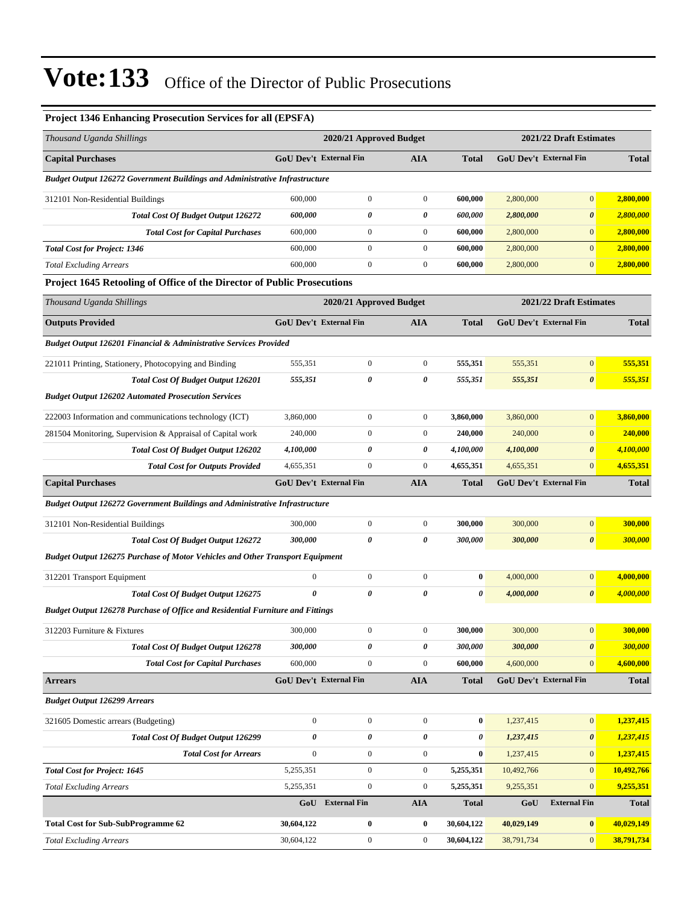| Project 1346 Enhancing Prosecution Services for all (EPSFA)                          |                               |                         |                  |              |                        |                         |                |
|--------------------------------------------------------------------------------------|-------------------------------|-------------------------|------------------|--------------|------------------------|-------------------------|----------------|
| Thousand Uganda Shillings                                                            |                               | 2020/21 Approved Budget |                  |              |                        | 2021/22 Draft Estimates |                |
| <b>Capital Purchases</b>                                                             | <b>GoU Dev't External Fin</b> |                         | <b>AIA</b>       | <b>Total</b> | GoU Dev't External Fin |                         | <b>Total</b>   |
| <b>Budget Output 126272 Government Buildings and Administrative Infrastructure</b>   |                               |                         |                  |              |                        |                         |                |
| 312101 Non-Residential Buildings                                                     | 600,000                       | $\boldsymbol{0}$        | $\overline{0}$   | 600,000      | 2,800,000              | $\mathbf{0}$            | 2,800,000      |
| <b>Total Cost Of Budget Output 126272</b>                                            | 600,000                       | 0                       | 0                | 600,000      | 2,800,000              | $\boldsymbol{\theta}$   | 2,800,000      |
| <b>Total Cost for Capital Purchases</b>                                              | 600,000                       | $\mathbf{0}$            | $\boldsymbol{0}$ | 600,000      | 2,800,000              | $\mathbf{0}$            | 2,800,000      |
| <b>Total Cost for Project: 1346</b>                                                  | 600,000                       | $\boldsymbol{0}$        | $\boldsymbol{0}$ | 600,000      | 2,800,000              | $\mathbf{0}$            | 2,800,000      |
| <b>Total Excluding Arrears</b>                                                       | 600,000                       | $\boldsymbol{0}$        | $\boldsymbol{0}$ | 600,000      | 2,800,000              | $\mathbf{0}$            | 2,800,000      |
| Project 1645 Retooling of Office of the Director of Public Prosecutions              |                               |                         |                  |              |                        |                         |                |
| Thousand Uganda Shillings                                                            |                               | 2020/21 Approved Budget |                  |              |                        | 2021/22 Draft Estimates |                |
| <b>Outputs Provided</b>                                                              | GoU Dev't External Fin        |                         | <b>AIA</b>       | <b>Total</b> |                        | GoU Dev't External Fin  | <b>Total</b>   |
| Budget Output 126201 Financial & Administrative Services Provided                    |                               |                         |                  |              |                        |                         |                |
| 221011 Printing, Stationery, Photocopying and Binding                                | 555,351                       | $\boldsymbol{0}$        | $\boldsymbol{0}$ | 555,351      | 555,351                | $\mathbf{0}$            | 555,351        |
| <b>Total Cost Of Budget Output 126201</b>                                            | 555,351                       | 0                       | 0                | 555,351      | 555,351                | $\boldsymbol{\theta}$   | 555,351        |
| <b>Budget Output 126202 Automated Prosecution Services</b>                           |                               |                         |                  |              |                        |                         |                |
| 222003 Information and communications technology (ICT)                               | 3,860,000                     | $\boldsymbol{0}$        | $\mathbf{0}$     | 3,860,000    | 3,860,000              | $\mathbf{0}$            | 3,860,000      |
| 281504 Monitoring, Supervision & Appraisal of Capital work                           | 240,000                       | $\boldsymbol{0}$        | $\boldsymbol{0}$ | 240,000      | 240,000                | $\mathbf{0}$            | 240,000        |
| <b>Total Cost Of Budget Output 126202</b>                                            | 4,100,000                     | 0                       | 0                | 4,100,000    | 4,100,000              | $\boldsymbol{\theta}$   | 4,100,000      |
| <b>Total Cost for Outputs Provided</b>                                               | 4,655,351                     | $\boldsymbol{0}$        | $\boldsymbol{0}$ | 4,655,351    | 4,655,351              | $\mathbf{0}$            | 4,655,351      |
| <b>Capital Purchases</b>                                                             | <b>GoU Dev't External Fin</b> |                         | <b>AIA</b>       | Total        |                        | GoU Dev't External Fin  | <b>Total</b>   |
| Budget Output 126272 Government Buildings and Administrative Infrastructure          |                               |                         |                  |              |                        |                         |                |
| 312101 Non-Residential Buildings                                                     | 300,000                       | $\boldsymbol{0}$        | $\boldsymbol{0}$ | 300,000      | 300,000                | $\boldsymbol{0}$        | 300,000        |
| <b>Total Cost Of Budget Output 126272</b>                                            | 300,000                       | 0                       | 0                | 300,000      | 300,000                | $\boldsymbol{\theta}$   | <b>300,000</b> |
| <b>Budget Output 126275 Purchase of Motor Vehicles and Other Transport Equipment</b> |                               |                         |                  |              |                        |                         |                |
| 312201 Transport Equipment                                                           | $\boldsymbol{0}$              | $\boldsymbol{0}$        | $\boldsymbol{0}$ | $\bf{0}$     | 4,000,000              | $\boldsymbol{0}$        | 4,000,000      |
| <b>Total Cost Of Budget Output 126275</b>                                            | $\theta$                      | 0                       | 0                | 0            | 4,000,000              | $\boldsymbol{\theta}$   | 4,000,000      |
| Budget Output 126278 Purchase of Office and Residential Furniture and Fittings       |                               |                         |                  |              |                        |                         |                |
| 312203 Furniture & Fixtures                                                          | 300,000                       | $\boldsymbol{0}$        | $\boldsymbol{0}$ | 300,000      | 300,000                | $\mathbf{0}$            | 300,000        |
| Total Cost Of Budget Output 126278                                                   | 300,000                       | 0                       | 0                | 300,000      | 300,000                | $\boldsymbol{\theta}$   | 300,000        |
| <b>Total Cost for Capital Purchases</b>                                              | 600,000                       | $\overline{0}$          | $\mathbf{0}$     | 600,000      | 4,600,000              | $\vert 0 \vert$         | 4,600,000      |
| <b>Arrears</b>                                                                       | <b>GoU Dev't External Fin</b> |                         | <b>AIA</b>       | <b>Total</b> |                        | GoU Dev't External Fin  | <b>Total</b>   |
| <b>Budget Output 126299 Arrears</b>                                                  |                               |                         |                  |              |                        |                         |                |
| 321605 Domestic arrears (Budgeting)                                                  | $\mathbf{0}$                  | $\boldsymbol{0}$        | $\boldsymbol{0}$ | $\bf{0}$     | 1,237,415              | $\mathbf{0}$            | 1,237,415      |
| <b>Total Cost Of Budget Output 126299</b>                                            | $\pmb{\theta}$                | 0                       | 0                | 0            | 1,237,415              | $\boldsymbol{\theta}$   | 1,237,415      |
| <b>Total Cost for Arrears</b>                                                        | $\boldsymbol{0}$              | $\boldsymbol{0}$        | $\boldsymbol{0}$ | 0            | 1,237,415              | $\mathbf{0}$            | 1,237,415      |
| <b>Total Cost for Project: 1645</b>                                                  | 5,255,351                     | $\boldsymbol{0}$        | $\boldsymbol{0}$ | 5,255,351    | 10,492,766             | $\mathbf{0}$            | 10,492,766     |
| <b>Total Excluding Arrears</b>                                                       | 5,255,351                     | $\boldsymbol{0}$        | $\boldsymbol{0}$ | 5,255,351    | 9,255,351              | $\mathbf{0}$            | 9,255,351      |
|                                                                                      | GoU                           | <b>External Fin</b>     | <b>AIA</b>       | <b>Total</b> | GoU                    | <b>External Fin</b>     | <b>Total</b>   |
| <b>Total Cost for Sub-SubProgramme 62</b>                                            | 30,604,122                    | $\bf{0}$                | 0                | 30,604,122   | 40,029,149             | $\boldsymbol{0}$        | 40,029,149     |
| <b>Total Excluding Arrears</b>                                                       | 30,604,122                    | $\boldsymbol{0}$        | $\boldsymbol{0}$ | 30,604,122   | 38,791,734             | $\mathbf{0}$            | 38,791,734     |